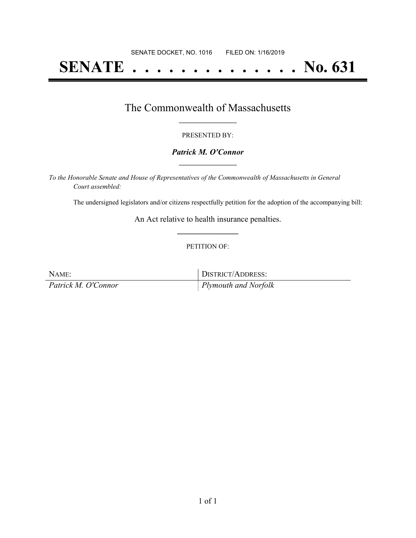# **SENATE . . . . . . . . . . . . . . No. 631**

### The Commonwealth of Massachusetts **\_\_\_\_\_\_\_\_\_\_\_\_\_\_\_\_\_**

#### PRESENTED BY:

#### *Patrick M. O'Connor* **\_\_\_\_\_\_\_\_\_\_\_\_\_\_\_\_\_**

*To the Honorable Senate and House of Representatives of the Commonwealth of Massachusetts in General Court assembled:*

The undersigned legislators and/or citizens respectfully petition for the adoption of the accompanying bill:

An Act relative to health insurance penalties. **\_\_\_\_\_\_\_\_\_\_\_\_\_\_\_**

#### PETITION OF:

| NAME:               | DISTRICT/ADDRESS:            |
|---------------------|------------------------------|
| Patrick M. O'Connor | $\vert$ Plymouth and Norfolk |